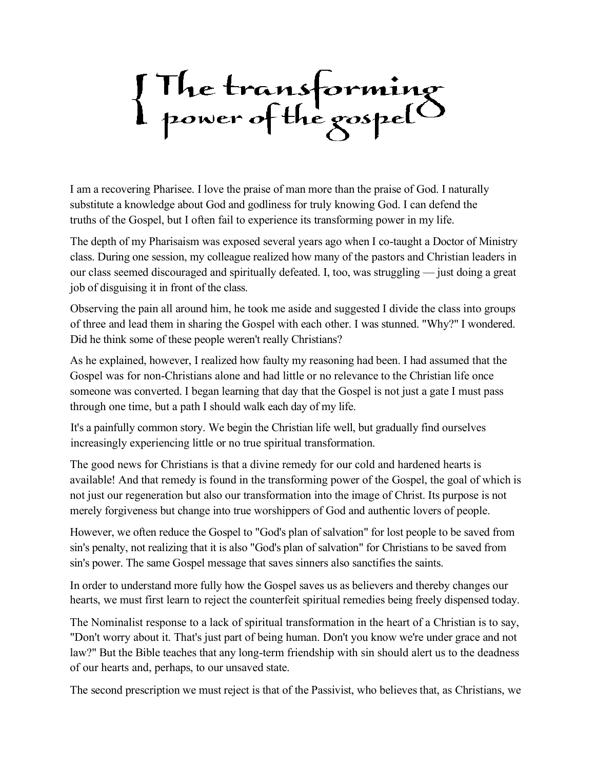## I The transforming

I am a recovering Pharisee. I love the praise of man more than the praise of God. I naturally substitute a knowledge about God and godliness for truly knowing God. I can defend the truths of the Gospel, but I often fail to experience its transforming power in my life.

The depth of my Pharisaism was exposed several years ago when I co-taught a Doctor of Ministry class. During one session, my colleague realized how many of the pastors and Christian leaders in our class seemed discouraged and spiritually defeated. I, too, was struggling — just doing a great job of disguising it in front of the class.

Observing the pain all around him, he took me aside and suggested I divide the class into groups of three and lead them in sharing the Gospel with each other. I was stunned. "Why?" I wondered. Did he think some of these people weren't really Christians?

As he explained, however, I realized how faulty my reasoning had been. I had assumed that the Gospel was for non-Christians alone and had little or no relevance to the Christian life once someone was converted. I began learning that day that the Gospel is not just a gate I must pass through one time, but a path I should walk each day of my life.

It's a painfully common story. We begin the Christian life well, but gradually find ourselves increasingly experiencing little or no true spiritual transformation.

The good news for Christians is that a divine remedy for our cold and hardened hearts is available! And that remedy is found in the transforming power of the Gospel, the goal of which is not just our regeneration but also our transformation into the image of Christ. Its purpose is not merely forgiveness but change into true worshippers of God and authentic lovers of people.

However, we often reduce the Gospel to "God's plan of salvation" for lost people to be saved from sin's penalty, not realizing that it is also "God's plan of salvation" for Christians to be saved from sin's power. The same Gospel message that saves sinners also sanctifies the saints.

In order to understand more fully how the Gospel saves us as believers and thereby changes our hearts, we must first learn to reject the counterfeit spiritual remedies being freely dispensed today.

The Nominalist response to a lack of spiritual transformation in the heart of a Christian is to say, "Don't worry about it. That's just part of being human. Don't you know we're under grace and not law?" But the Bible teaches that any long-term friendship with sin should alert us to the deadness of our hearts and, perhaps, to our unsaved state.

The second prescription we must reject is that of the Passivist, who believes that, as Christians, we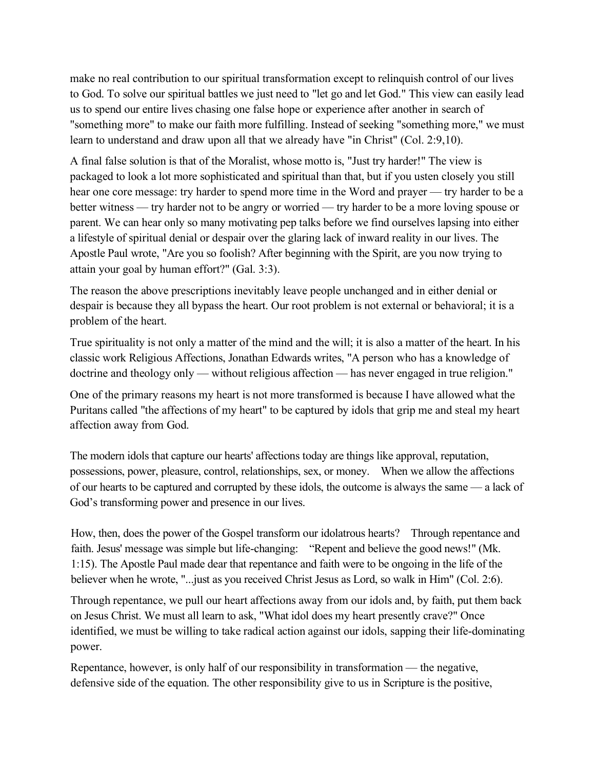make no real contribution to our spiritual transformation except to relinquish control of our lives to God. To solve our spiritual battles we just need to "let go and let God." This view can easily lead us to spend our entire lives chasing one false hope or experience after another in search of "something more" to make our faith more fulfilling. Instead of seeking "something more," we must learn to understand and draw upon all that we already have "in Christ" (Col. 2:9,10).

A final false solution is that of the Moralist, whose motto is, "Just try harder!" The view is packaged to look a lot more sophisticated and spiritual than that, but if you usten closely you still hear one core message: try harder to spend more time in the Word and prayer — try harder to be a better witness — try harder not to be angry or worried — try harder to be a more loving spouse or parent. We can hear only so many motivating pep talks before we find ourselves lapsing into either a lifestyle of spiritual denial or despair over the glaring lack of inward reality in our lives. The Apostle Paul wrote, "Are you so foolish? After beginning with the Spirit, are you now trying to attain your goal by human effort?" (Gal. 3:3).

The reason the above prescriptions inevitably leave people unchanged and in either denial or despair is because they all bypass the heart. Our root problem is not external or behavioral; it is a problem of the heart.

True spirituality is not only a matter of the mind and the will; it is also a matter of the heart. In his classic work Religious Affections, Jonathan Edwards writes, "A person who has a knowledge of doctrine and theology only — without religious affection — has never engaged in true religion."

One of the primary reasons my heart is not more transformed is because I have allowed what the Puritans called "the affections of my heart" to be captured by idols that grip me and steal my heart affection away from God.

The modern idols that capture our hearts' affections today are things like approval, reputation, possessions, power, pleasure, control, relationships, sex, or money. When we allow the affections of our hearts to be captured and corrupted by these idols, the outcome is always the same — a lack of God's transforming power and presence in our lives.

How, then, does the power of the Gospel transform our idolatrous hearts? Through repentance and faith. Jesus' message was simple but life-changing: "Repent and believe the good news!" (Mk. 1:15). The Apostle Paul made dear that repentance and faith were to be ongoing in the life of the believer when he wrote, "...just as you received Christ Jesus as Lord, so walk in Him" (Col. 2:6).

Through repentance, we pull our heart affections away from our idols and, by faith, put them back on Jesus Christ. We must all learn to ask, "What idol does my heart presently crave?" Once identified, we must be willing to take radical action against our idols, sapping their life-dominating power.

Repentance, however, is only half of our responsibility in transformation — the negative, defensive side of the equation. The other responsibility give to us in Scripture is the positive,